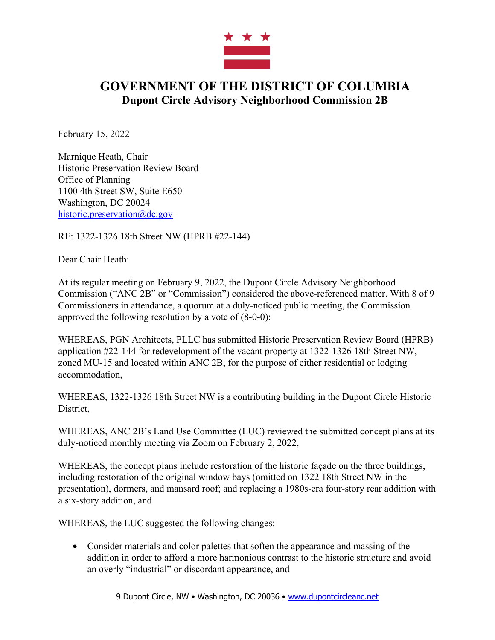

## **GOVERNMENT OF THE DISTRICT OF COLUMBIA Dupont Circle Advisory Neighborhood Commission 2B**

February 15, 2022

Marnique Heath, Chair Historic Preservation Review Board Office of Planning 1100 4th Street SW, Suite E650 Washington, DC 20024 historic.preservation@dc.gov

RE: 1322-1326 18th Street NW (HPRB #22-144)

Dear Chair Heath:

At its regular meeting on February 9, 2022, the Dupont Circle Advisory Neighborhood Commission ("ANC 2B" or "Commission") considered the above-referenced matter. With 8 of 9 Commissioners in attendance, a quorum at a duly-noticed public meeting, the Commission approved the following resolution by a vote of (8-0-0):

WHEREAS, PGN Architects, PLLC has submitted Historic Preservation Review Board (HPRB) application #22-144 for redevelopment of the vacant property at 1322-1326 18th Street NW, zoned MU-15 and located within ANC 2B, for the purpose of either residential or lodging accommodation,

WHEREAS, 1322-1326 18th Street NW is a contributing building in the Dupont Circle Historic District,

WHEREAS, ANC 2B's Land Use Committee (LUC) reviewed the submitted concept plans at its duly-noticed monthly meeting via Zoom on February 2, 2022,

WHEREAS, the concept plans include restoration of the historic façade on the three buildings, including restoration of the original window bays (omitted on 1322 18th Street NW in the presentation), dormers, and mansard roof; and replacing a 1980s-era four-story rear addition with a six-story addition, and

WHEREAS, the LUC suggested the following changes:

• Consider materials and color palettes that soften the appearance and massing of the addition in order to afford a more harmonious contrast to the historic structure and avoid an overly "industrial" or discordant appearance, and